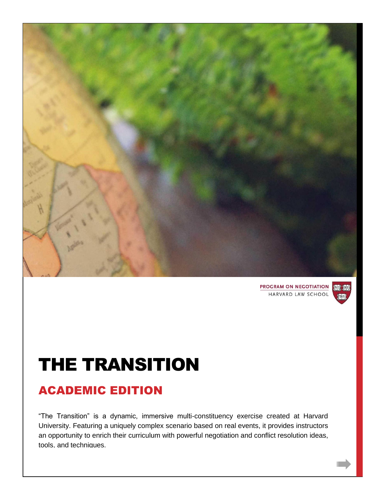

**PROGRAM ON NEGOTIATION 100 100** HARVARD LAW SCHOOL



# THE TRANSITION

# ACADEMIC EDITION

"The Transition" is a dynamic, immersive multi-constituency exercise created at Harvard University. Featuring a uniquely complex scenario based on real events, it provides instructors an opportunity to enrich their curriculum with powerful negotiation and conflict resolution ideas, tools, and techniques.